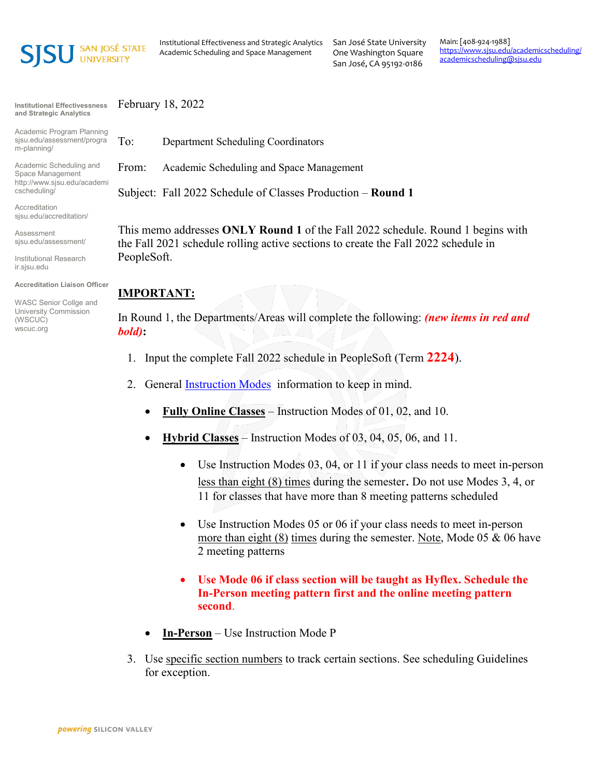

Institutional Effectiveness and Strategic Analytics Academic Scheduling and Space Management

San José State University One Washington Square San José, CA 95192-0186

Main: [408-924-1988] <https://www.sjsu.edu/academicscheduling/> [academicscheduling@sjsu.edu](mailto:academicscheduling@sjsu.edu)

**Institutional Effectivessness and Strategic Analytics**

Academic Program Planning sjsu.edu/assessment/progra m-planning/

Academic Scheduling and Space Management http://www.sjsu.edu/academi cscheduling/

Accreditation sjsu.edu/accreditation/

Assessment sjsu.edu/assessment/

Institutional Research ir.sjsu.edu

**Accreditation Liaison Officer**

WASC Senior Collge and University Commission (WSCUC) wscuc.org

February 18, 2022

To: Department Scheduling Coordinators

From: Academic Scheduling and Space Management

Subject: Fall 2022 Schedule of Classes Production – **Round 1**

This memo addresses **ONLY Round 1** of the Fall 2022 schedule. Round 1 begins with the Fall 2021 schedule rolling active sections to create the Fall 2022 schedule in PeopleSoft.

## **IMPORTANT:**

In Round 1, the Departments/Areas will complete the following: *(new items in red and bold)***:**

- 1. Input the complete Fall 2022 schedule in PeopleSoft (Term **2224**).
- 2. General **Instruction Modes** information to keep in mind.
	- **Fully Online Classes** Instruction Modes of 01, 02, and 10.
	- **Hybrid Classes** Instruction Modes of 03, 04, 05, 06, and 11.
		- Use Instruction Modes 03, 04, or 11 if your class needs to meet in-person less than eight (8) times during the semester. Do not use Modes 3, 4, or 11 for classes that have more than 8 meeting patterns scheduled
		- Use Instruction Modes 05 or 06 if your class needs to meet in-person more than eight  $(8)$  times during the semester. Note, Mode 05 & 06 have 2 meeting patterns
		- **Use Mode 06 if class section will be taught as Hyflex. Schedule the In-Person meeting pattern first and the online meeting pattern second**.
	- **In-Person** Use Instruction Mode P
- 3. Use specific section numbers to track certain sections. See scheduling Guidelines for exception.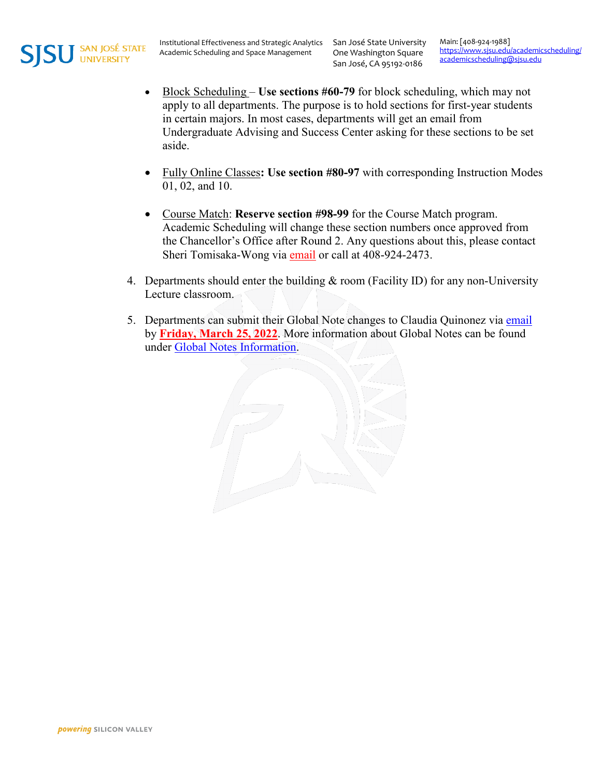

One Washington Square San José, CA 95192-0186

Main: [408-924-1988] <https://www.sjsu.edu/academicscheduling/> [academicscheduling@sjsu.edu](mailto:academicscheduling@sjsu.edu)

- Block Scheduling **Use sections #60-79** for block scheduling, which may not apply to all departments. The purpose is to hold sections for first-year students in certain majors. In most cases, departments will get an email from Undergraduate Advising and Success Center asking for these sections to be set aside.
- Fully Online Classes**: Use section #80-97** with corresponding Instruction Modes 01, 02, and 10.
- Course Match: **Reserve section #98-99** for the Course Match program. Academic Scheduling will change these section numbers once approved from the Chancellor's Office after Round 2. Any questions about this, please contact Sheri Tomisaka-Wong via [email](mailto:sheri.tomisaka-wong@sjsu.edu) or call at 408-924-2473.
- 4. Departments should enter the building & room (Facility ID) for any non-University Lecture classroom.
- 5. Departments can submit their Global Note changes to Claudia Quinonez via [email](mailto:claudia.quinonez@sjsu.edu) by **Friday, March 25, 2022**. More information about Global Notes can be found under [Global Notes Information.](https://www.sjsu.edu/academicscheduling/course-scheduling/global-notes-information.php)

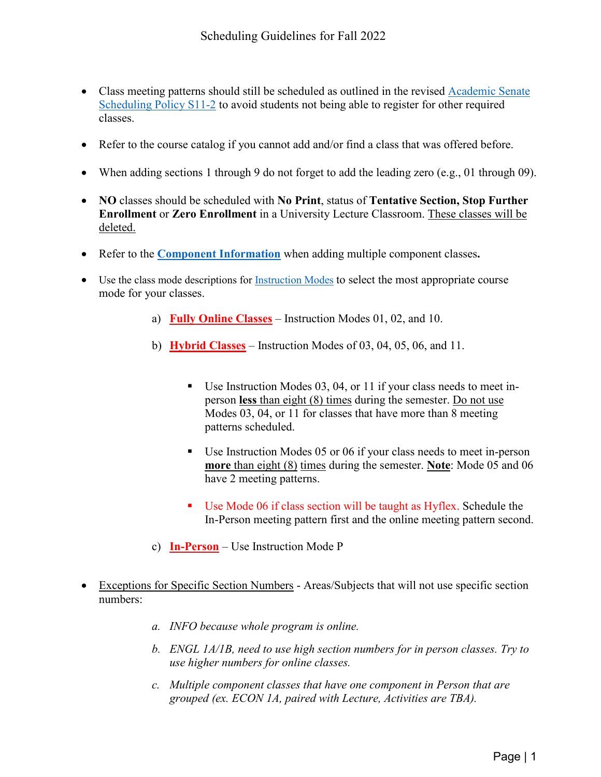- Class meeting patterns should still be scheduled as outlined in the revised Academic Senate [Scheduling Policy S11-2](https://www.sjsu.edu/senate/docs/S11-2.pdf) to avoid students not being able to register for other required classes.
- Refer to the course catalog if you cannot add and/or find a class that was offered before.
- When adding sections 1 through 9 do not forget to add the leading zero (e.g., 01 through 09).
- **NO** classes should be scheduled with **No Print**, status of **Tentative Section, Stop Further Enrollment** or **Zero Enrollment** in a University Lecture Classroom. These classes will be deleted.
- Refer to the **[Component Information](https://www.sjsu.edu/academicscheduling/course-scheduling/component.php)** when adding multiple component classes**.**
- Use the class mode descriptions for [Instruction Modes](https://www.sjsu.edu/academicscheduling/course-scheduling/instruction-modes/index.php) to select the most appropriate course mode for your classes.
	- a) **Fully Online Classes** Instruction Modes 01, 02, and 10.
	- b) **Hybrid Classes** Instruction Modes of 03, 04, 05, 06, and 11.
		- Use Instruction Modes 03, 04, or 11 if your class needs to meet inperson **less** than eight (8) times during the semester. Do not use Modes 03, 04, or 11 for classes that have more than 8 meeting patterns scheduled.
		- Use Instruction Modes 05 or 06 if your class needs to meet in-person **more** than eight (8) times during the semester. **Note**: Mode 05 and 06 have 2 meeting patterns.
		- Use Mode 06 if class section will be taught as Hyflex. Schedule the In-Person meeting pattern first and the online meeting pattern second.
	- c) **In-Person** Use Instruction Mode P
- Exceptions for Specific Section Numbers Areas/Subjects that will not use specific section numbers:
	- *a. INFO because whole program is online.*
	- *b. ENGL 1A/1B, need to use high section numbers for in person classes. Try to use higher numbers for online classes.*
	- *c. Multiple component classes that have one component in Person that are grouped (ex. ECON 1A, paired with Lecture, Activities are TBA).*